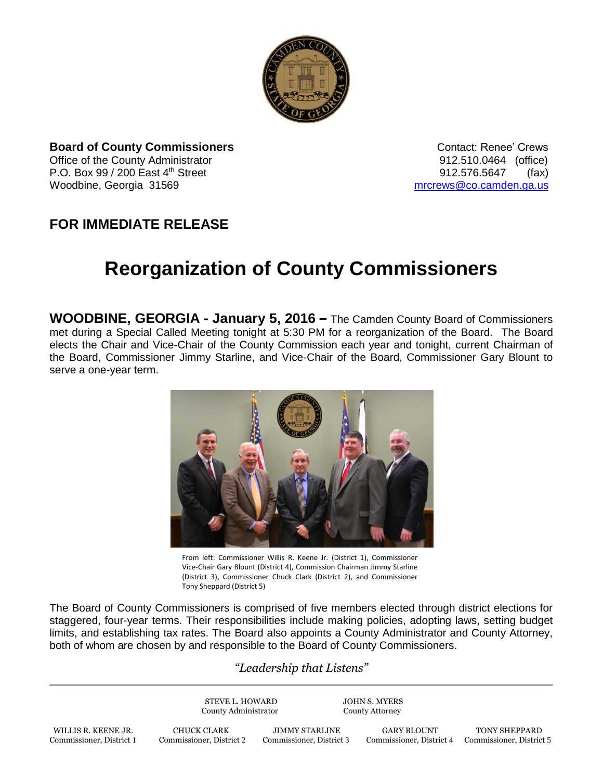

**Board of County Commissioners CONTER 1999** Contact: Renee' Crews Office of the County Administrator 912.510.0464 (office) P.O. Box 99 / 200 East 4<sup>th</sup> Street 912.576.5647 (fax) Woodbine, Georgia 31569 [mrcrews@co.camden.ga.us](mailto:mrcrews@co.camden.ga.us)

## **FOR IMMEDIATE RELEASE**

## **Reorganization of County Commissioners**

**WOODBINE, GEORGIA - January 5, 2016 –** The Camden County Board of Commissioners met during a Special Called Meeting tonight at 5:30 PM for a reorganization of the Board. The Board elects the Chair and Vice-Chair of the County Commission each year and tonight, current Chairman of the Board, Commissioner Jimmy Starline, and Vice-Chair of the Board, Commissioner Gary Blount to serve a one-year term.



From left: Commissioner Willis R. Keene Jr. (District 1), Commissioner Vice-Chair Gary Blount (District 4), Commission Chairman Jimmy Starline (District 3), Commissioner Chuck Clark (District 2), and Commissioner Tony Sheppard (District 5)

The Board of County Commissioners is comprised of five members elected through district elections for staggered, four-year terms. Their responsibilities include making policies, adopting laws, setting budget limits, and establishing tax rates. The Board also appoints a County Administrator and County Attorney, both of whom are chosen by and responsible to the Board of County Commissioners.

## *"Leadership that Listens"*

STEVE L. HOWARD JOHN S. MYERS County Administrator County Attorney